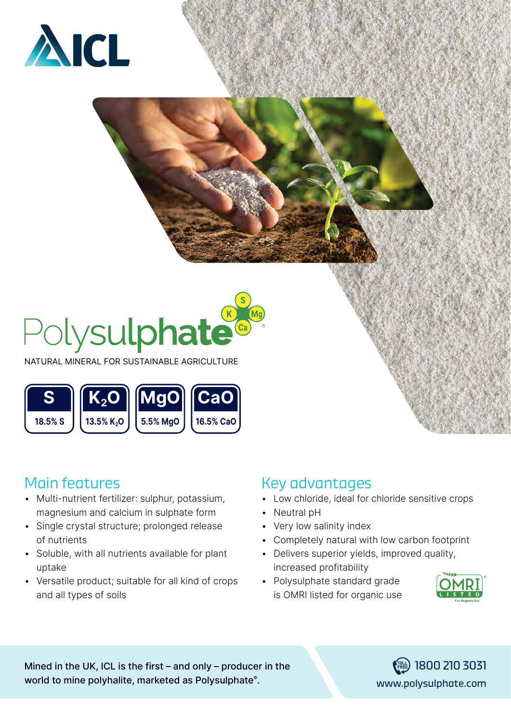



NATURAL MINERAL FOR SUSTAINABLE AGRICULTURE



# Main features

- Multi-nutrient fertilizer: sulphur, potassium, magnesium and calcium in sulphate form
- Single crystal structure; prolonged release of nutrients
- Soluble, with all nutrients available for plant uptake
- Versatile product; suitable for all kind of crops and all types of soils

## **Key advantages**

- Low chloride, ideal for chloride sensitive crops
- Neutral pH
- Very low salinity index
- Completely natural with low carbon footprint
- Delivers superior yields, improved quality, increased profitability
- Polysulphate standard grade is OMRI listed for organic use



Mined in the UK, ICL is the first – and only – producer in the **interpolagement of the interpolagement** is  $\frac{1}{\sqrt{R_{R_{\text{E}}}}}\approx 1800$  210 3031 world to mine polyhalite, marketed as Polysulphate®.

www.polysulphate.com